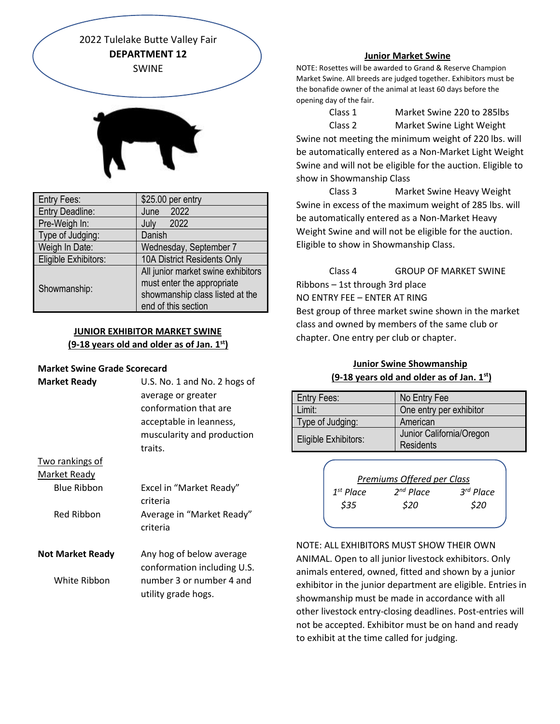2022 Tulelake Butte Valley Fair **DEPARTMENT 12** SWINE



| <b>Entry Fees:</b>     | \$25.00 per entry                                                                                                          |  |
|------------------------|----------------------------------------------------------------------------------------------------------------------------|--|
| <b>Entry Deadline:</b> | June 2022                                                                                                                  |  |
| Pre-Weigh In:          | 2022<br>July                                                                                                               |  |
| Type of Judging:       | Danish                                                                                                                     |  |
| Weigh In Date:         | Wednesday, September 7                                                                                                     |  |
| Eligible Exhibitors:   | 10A District Residents Only                                                                                                |  |
| Showmanship:           | All junior market swine exhibitors<br>must enter the appropriate<br>showmanship class listed at the<br>end of this section |  |

# **JUNIOR EXHIBITOR MARKET SWINE (9-18 years old and older as of Jan. 1st)**

## **Market Swine Grade Scorecard**

| <b>Market Ready</b>     | U.S. No. 1 and No. 2 hogs of<br>average or greater<br>conformation that are<br>acceptable in leanness,<br>muscularity and production<br>traits. |
|-------------------------|-------------------------------------------------------------------------------------------------------------------------------------------------|
| Two rankings of         |                                                                                                                                                 |
| <u>Market Ready</u>     |                                                                                                                                                 |
| <b>Blue Ribbon</b>      | Excel in "Market Ready"<br>criteria                                                                                                             |
| Red Ribbon              | Average in "Market Ready"<br>criteria                                                                                                           |
| <b>Not Market Ready</b> | Any hog of below average<br>conformation including U.S.                                                                                         |
| White Ribbon            | number 3 or number 4 and<br>utility grade hogs.                                                                                                 |
|                         |                                                                                                                                                 |

#### **Junior Market Swine**

NOTE: Rosettes will be awarded to Grand & Reserve Champion Market Swine. All breeds are judged together. Exhibitors must be the bonafide owner of the animal at least 60 days before the opening day of the fair.

Class 1 Market Swine 220 to 285lbs Class 2 Market Swine Light Weight Swine not meeting the minimum weight of 220 lbs. will be automatically entered as a Non-Market Light Weight Swine and will not be eligible for the auction. Eligible to show in Showmanship Class

Class 3 Market Swine Heavy Weight Swine in excess of the maximum weight of 285 lbs. will be automatically entered as a Non-Market Heavy Weight Swine and will not be eligible for the auction. Eligible to show in Showmanship Class.

Class 4 GROUP OF MARKET SWINE Ribbons – 1st through 3rd place NO ENTRY FEE – ENTER AT RING Best group of three market swine shown in the market class and owned by members of the same club or chapter. One entry per club or chapter.

# **Junior Swine Showmanship (9-18 years old and older as of Jan. 1st)**

| Entry Fees:          | No Entry Fee                                 |
|----------------------|----------------------------------------------|
| Limit:               | One entry per exhibitor                      |
| Type of Judging:     | American                                     |
| Eligible Exhibitors: | Junior California/Oregon<br><b>Residents</b> |

| Premiums Offered per Class |                |             |  |
|----------------------------|----------------|-------------|--|
| $1^{st}$ Place             | $2^{nd}$ Place | $3rd$ Place |  |
| \$35                       | \$20           | \$20        |  |
|                            |                |             |  |

NOTE: ALL EXHIBITORS MUST SHOW THEIR OWN ANIMAL. Open to all junior livestock exhibitors. Only animals entered, owned, fitted and shown by a junior exhibitor in the junior department are eligible. Entries in showmanship must be made in accordance with all other livestock entry-closing deadlines. Post-entries will not be accepted. Exhibitor must be on hand and ready to exhibit at the time called for judging.